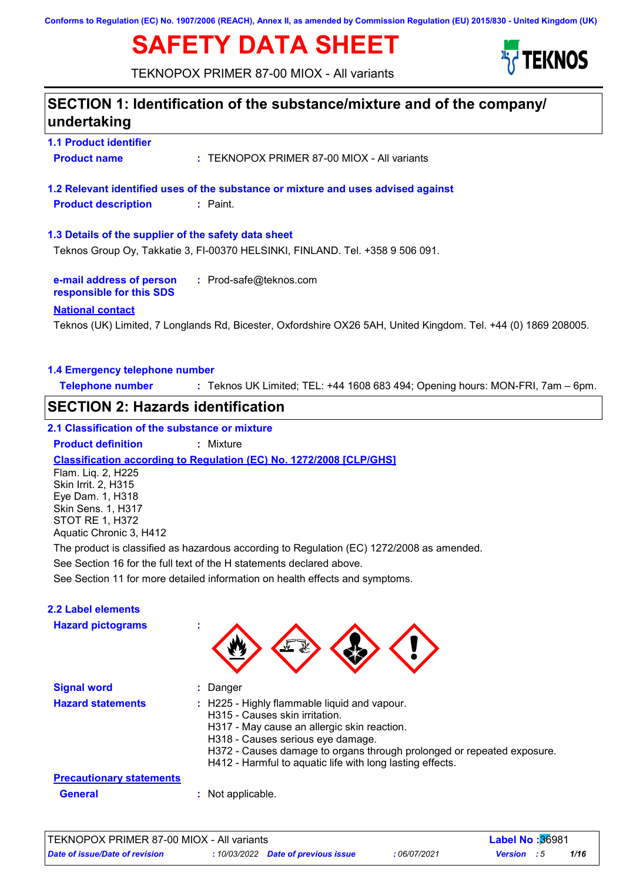**Conforms to Regulation (EC) No. 1907/2006 (REACH), Annex II, as amended by Commission Regulation (EU) 2015/830 - United Kingdom (UK)**

# **SAFETY DATA SHEET**



TEKNOPOX PRIMER 87-00 MIOX - All variants

## **SECTION 1: Identification of the substance/mixture and of the company/ undertaking**

**1.1 Product identifier Product name :** TEKNOPOX PRIMER 87-00 MIOX - All variants

**1.2 Relevant identified uses of the substance or mixture and uses advised against Product description :** Paint.

#### **1.3 Details of the supplier of the safety data sheet**

Teknos Group Oy, Takkatie 3, FI-00370 HELSINKI, FINLAND. Tel. +358 9 506 091.

**e-mail address of person responsible for this SDS :** Prod-safe@teknos.com

#### **National contact**

Teknos (UK) Limited, 7 Longlands Rd, Bicester, Oxfordshire OX26 5AH, United Kingdom. Tel. +44 (0) 1869 208005.

#### **1.4 Emergency telephone number**

**Telephone number :** Teknos UK Limited; TEL: +44 1608 683 494; Opening hours: MON-FRI, 7am – 6pm.

## **SECTION 2: Hazards identification**

#### **2.1 Classification of the substance or mixture**

**Product definition :** Mixture

**Classification according to Regulation (EC) No. 1272/2008 [CLP/GHS]**

Flam. Liq. 2, H225 Skin Irrit. 2, H315 Eye Dam. 1, H318 Skin Sens. 1, H317 STOT RE 1, H372 Aquatic Chronic 3, H412

The product is classified as hazardous according to Regulation (EC) 1272/2008 as amended.

See Section 16 for the full text of the H statements declared above.

See Section 11 for more detailed information on health effects and symptoms.

#### **2.2 Label elements**

**Hazard pictograms :**

| M | ÷ | УY |  |
|---|---|----|--|
|   |   |    |  |

| <b>Signal word</b>       |  |
|--------------------------|--|
| <b>Hazard statements</b> |  |

: Danger

**Hazard statements 1225 - Highly flammable liquid and vapour.** 

- H315 Causes skin irritation.
- H317 May cause an allergic skin reaction.
- H318 Causes serious eye damage.
- H372 Causes damage to organs through prolonged or repeated exposure.
- H412 Harmful to aquatic life with long lasting effects.

| <b>Precautionary statements</b> |       |
|---------------------------------|-------|
| <b>General</b>                  | : Not |

Not applicable.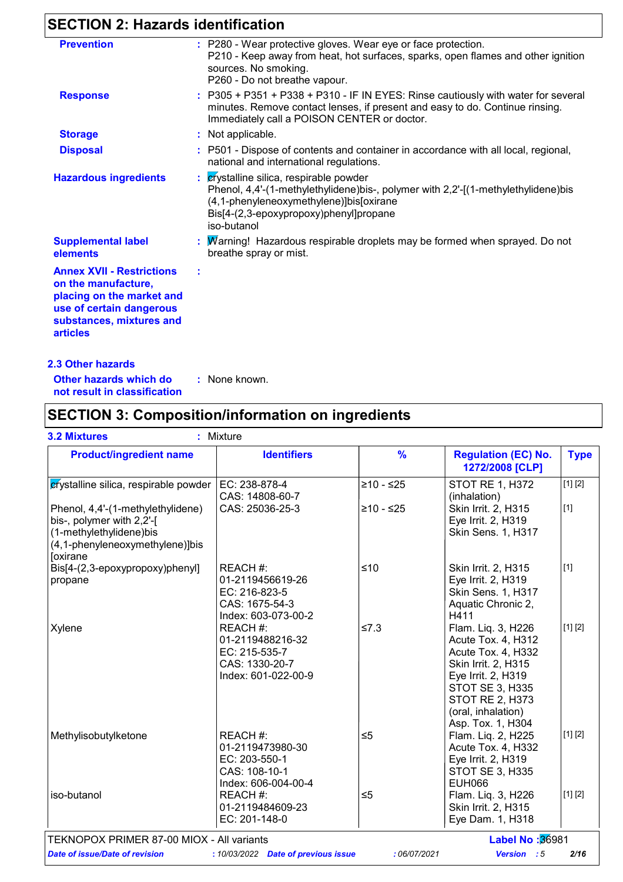## **SECTION 2: Hazards identification**

| <b>Prevention</b>                                                                                                                                               | : P280 - Wear protective gloves. Wear eye or face protection.<br>P210 - Keep away from heat, hot surfaces, sparks, open flames and other ignition<br>sources. No smoking.<br>P260 - Do not breathe vapour.                       |
|-----------------------------------------------------------------------------------------------------------------------------------------------------------------|----------------------------------------------------------------------------------------------------------------------------------------------------------------------------------------------------------------------------------|
| <b>Response</b>                                                                                                                                                 | : P305 + P351 + P338 + P310 - IF IN EYES: Rinse cautiously with water for several<br>minutes. Remove contact lenses, if present and easy to do. Continue rinsing.<br>Immediately call a POISON CENTER or doctor.                 |
| <b>Storage</b>                                                                                                                                                  | : Not applicable.                                                                                                                                                                                                                |
| <b>Disposal</b>                                                                                                                                                 | : P501 - Dispose of contents and container in accordance with all local, regional,<br>national and international regulations.                                                                                                    |
| <b>Hazardous ingredients</b>                                                                                                                                    | : crystalline silica, respirable powder<br>Phenol, 4,4'-(1-methylethylidene)bis-, polymer with 2,2'-[(1-methylethylidene)bis<br>(4,1-phenyleneoxymethylene)]bis[oxirane<br>Bis[4-(2,3-epoxypropoxy)phenyl]propane<br>iso-butanol |
| <b>Supplemental label</b><br>elements                                                                                                                           | : Warning! Hazardous respirable droplets may be formed when sprayed. Do not<br>breathe spray or mist.                                                                                                                            |
| <b>Annex XVII - Restrictions</b><br>on the manufacture,<br>placing on the market and<br>use of certain dangerous<br>substances, mixtures and<br><b>articles</b> |                                                                                                                                                                                                                                  |
|                                                                                                                                                                 |                                                                                                                                                                                                                                  |

#### **2.3 Other hazards**

**Other hazards which do : not result in classification** : None known.

## **SECTION 3: Composition/information on ingredients**

| <b>Product/ingredient name</b>                                                                                                           | <b>Identifiers</b>                                                                     | $\frac{9}{6}$ | <b>Regulation (EC) No.</b><br>1272/2008 [CLP]                                                                                                                                                              | <b>Type</b> |
|------------------------------------------------------------------------------------------------------------------------------------------|----------------------------------------------------------------------------------------|---------------|------------------------------------------------------------------------------------------------------------------------------------------------------------------------------------------------------------|-------------|
| crystalline silica, respirable powder   EC: 238-878-4                                                                                    | CAS: 14808-60-7                                                                        | $≥10 - ≤25$   | <b>STOT RE 1, H372</b><br>(inhalation)                                                                                                                                                                     | [1] [2]     |
| Phenol, 4,4'-(1-methylethylidene)<br>bis-, polymer with 2,2'-[<br>(1-methylethylidene)bis<br>(4,1-phenyleneoxymethylene)]bis<br>[oxirane | CAS: 25036-25-3                                                                        | $≥10 - ≤25$   | Skin Irrit. 2, H315<br>Eye Irrit. 2, H319<br>Skin Sens. 1, H317                                                                                                                                            | $[1]$       |
| Bis[4-(2,3-epoxypropoxy)phenyl]<br>propane                                                                                               | REACH #:<br>01-2119456619-26<br>EC: 216-823-5<br>CAS: 1675-54-3<br>Index: 603-073-00-2 | $≤10$         | Skin Irrit. 2, H315<br>Eye Irrit. 2, H319<br>Skin Sens. 1, H317<br>Aquatic Chronic 2,<br>H411                                                                                                              | $[1]$       |
| Xylene                                                                                                                                   | REACH #:<br>01-2119488216-32<br>EC: 215-535-7<br>CAS: 1330-20-7<br>Index: 601-022-00-9 | $≤7.3$        | Flam. Liq. 3, H226<br>Acute Tox. 4, H312<br>Acute Tox. 4, H332<br>Skin Irrit. 2, H315<br>Eye Irrit. 2, H319<br><b>STOT SE 3, H335</b><br><b>STOT RE 2, H373</b><br>(oral, inhalation)<br>Asp. Tox. 1, H304 | [1] [2]     |
| Methylisobutylketone                                                                                                                     | REACH #:<br>01-2119473980-30<br>EC: 203-550-1<br>CAS: 108-10-1<br>Index: 606-004-00-4  | $\leq 5$      | Flam. Liq. 2, H225<br>Acute Tox. 4, H332<br>Eye Irrit. 2, H319<br><b>STOT SE 3, H335</b><br><b>EUH066</b>                                                                                                  | [1] [2]     |
| iso-butanol                                                                                                                              | REACH #:<br>01-2119484609-23<br>EC: 201-148-0                                          | $\leq 5$      | Flam. Liq. 3, H226<br>Skin Irrit. 2, H315<br>Eye Dam. 1, H318                                                                                                                                              | [1] [2]     |
| TEKNOPOX PRIMER 87-00 MIOX - All variants                                                                                                |                                                                                        |               | Label No: 36981                                                                                                                                                                                            |             |
| Date of issue/Date of revision                                                                                                           | : 10/03/2022 Date of previous issue                                                    | :06/07/2021   | Version : 5                                                                                                                                                                                                | 2/16        |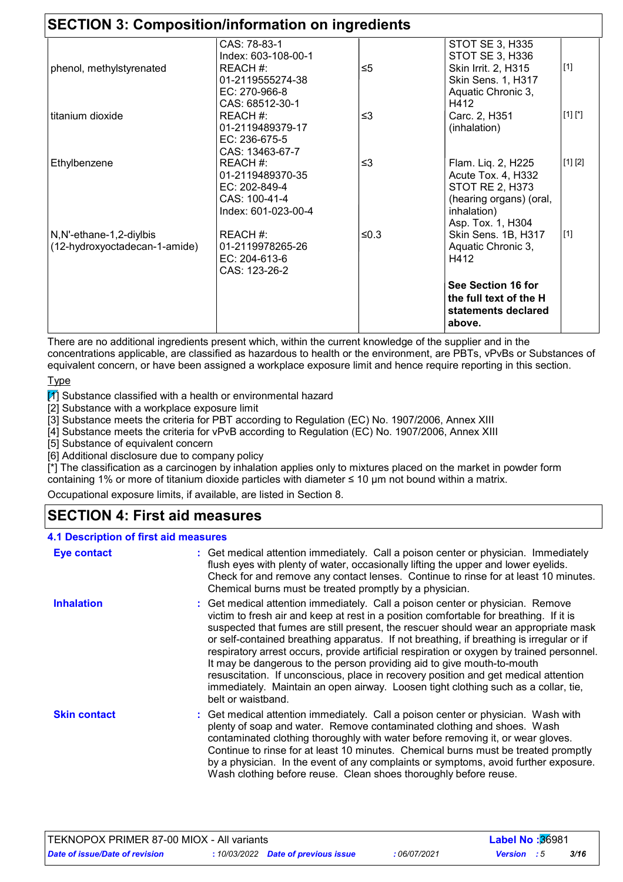|                               | CAS: 78-83-1        |          | STOT SE 3, H335           |            |
|-------------------------------|---------------------|----------|---------------------------|------------|
|                               | Index: 603-108-00-1 |          | <b>STOT SE 3, H336</b>    |            |
| phenol, methylstyrenated      | REACH #:            | $\leq 5$ | Skin Irrit. 2, H315       | $[1]$      |
|                               | 01-2119555274-38    |          | <b>Skin Sens. 1, H317</b> |            |
|                               | EC: 270-966-8       |          | Aquatic Chronic 3,        |            |
|                               | CAS: 68512-30-1     |          | H412                      |            |
| titanium dioxide              | REACH #:            | ≤3       | Carc. 2, H351             | $[1] [^*]$ |
|                               | 01-2119489379-17    |          | (inhalation)              |            |
|                               | EC: $236-675-5$     |          |                           |            |
|                               | CAS: 13463-67-7     |          |                           |            |
| Ethylbenzene                  | REACH #:            | ≤3       | Flam. Liq. 2, H225        | [1] [2]    |
|                               | 01-2119489370-35    |          | Acute Tox. 4, H332        |            |
|                               | EC: $202 - 849 - 4$ |          | STOT RE 2, H373           |            |
|                               | CAS: 100-41-4       |          | (hearing organs) (oral,   |            |
|                               | Index: 601-023-00-4 |          | inhalation)               |            |
|                               |                     |          | Asp. Tox. 1, H304         |            |
| N,N'-ethane-1,2-diylbis       | REACH #:            | ≤ $0.3$  | Skin Sens. 1B, H317       | $[1]$      |
| (12-hydroxyoctadecan-1-amide) | 01-2119978265-26    |          | Aquatic Chronic 3,        |            |
|                               | EC: $204-613-6$     |          | H412                      |            |
|                               | CAS: 123-26-2       |          |                           |            |
|                               |                     |          | See Section 16 for        |            |
|                               |                     |          | the full text of the H    |            |
|                               |                     |          | statements declared       |            |
|                               |                     |          | above.                    |            |

There are no additional ingredients present which, within the current knowledge of the supplier and in the concentrations applicable, are classified as hazardous to health or the environment, are PBTs, vPvBs or Substances of equivalent concern, or have been assigned a workplace exposure limit and hence require reporting in this section.

**Type** 

 $\boxed{1}$  Substance classified with a health or environmental hazard

[2] Substance with a workplace exposure limit

[3] Substance meets the criteria for PBT according to Regulation (EC) No. 1907/2006, Annex XIII

[4] Substance meets the criteria for vPvB according to Regulation (EC) No. 1907/2006, Annex XIII

[5] Substance of equivalent concern

[6] Additional disclosure due to company policy

[\*] The classification as a carcinogen by inhalation applies only to mixtures placed on the market in powder form containing 1% or more of titanium dioxide particles with diameter ≤ 10 μm not bound within a matrix.

Occupational exposure limits, if available, are listed in Section 8.

### **SECTION 4: First aid measures**

#### **4.1 Description of first aid measures**

| <b>Eye contact</b>  | : Get medical attention immediately. Call a poison center or physician. Immediately<br>flush eyes with plenty of water, occasionally lifting the upper and lower eyelids.<br>Check for and remove any contact lenses. Continue to rinse for at least 10 minutes.<br>Chemical burns must be treated promptly by a physician.                                                                                                                                                                                                                                                                                                                                                                                                           |
|---------------------|---------------------------------------------------------------------------------------------------------------------------------------------------------------------------------------------------------------------------------------------------------------------------------------------------------------------------------------------------------------------------------------------------------------------------------------------------------------------------------------------------------------------------------------------------------------------------------------------------------------------------------------------------------------------------------------------------------------------------------------|
| <b>Inhalation</b>   | : Get medical attention immediately. Call a poison center or physician. Remove<br>victim to fresh air and keep at rest in a position comfortable for breathing. If it is<br>suspected that fumes are still present, the rescuer should wear an appropriate mask<br>or self-contained breathing apparatus. If not breathing, if breathing is irregular or if<br>respiratory arrest occurs, provide artificial respiration or oxygen by trained personnel.<br>It may be dangerous to the person providing aid to give mouth-to-mouth<br>resuscitation. If unconscious, place in recovery position and get medical attention<br>immediately. Maintain an open airway. Loosen tight clothing such as a collar, tie,<br>belt or waistband. |
| <b>Skin contact</b> | : Get medical attention immediately. Call a poison center or physician. Wash with<br>plenty of soap and water. Remove contaminated clothing and shoes. Wash<br>contaminated clothing thoroughly with water before removing it, or wear gloves.<br>Continue to rinse for at least 10 minutes. Chemical burns must be treated promptly<br>by a physician. In the event of any complaints or symptoms, avoid further exposure.<br>Wash clothing before reuse. Clean shoes thoroughly before reuse.                                                                                                                                                                                                                                       |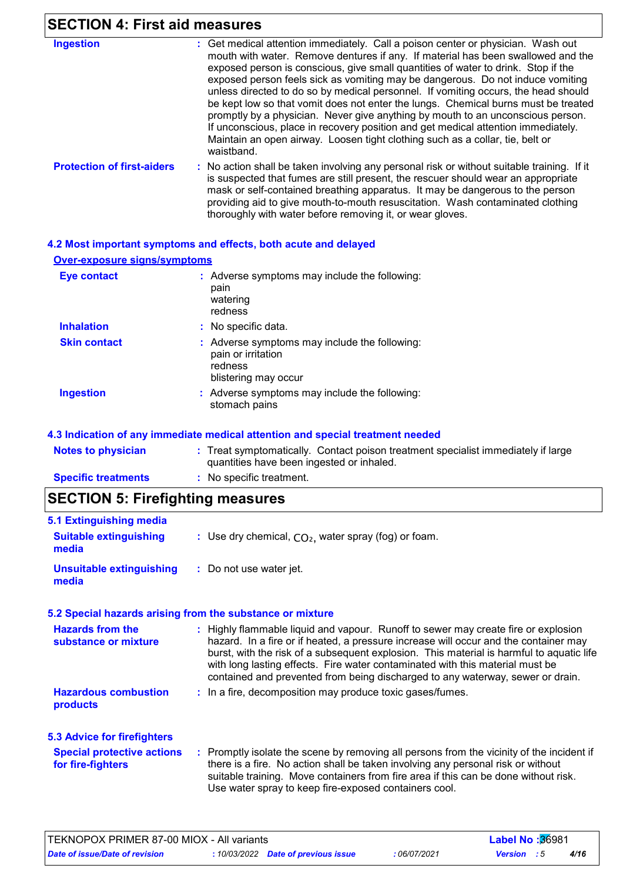## **SECTION 4: First aid measures**

| <b>Ingestion</b>                  | : Get medical attention immediately. Call a poison center or physician. Wash out<br>mouth with water. Remove dentures if any. If material has been swallowed and the<br>exposed person is conscious, give small quantities of water to drink. Stop if the<br>exposed person feels sick as vomiting may be dangerous. Do not induce vomiting<br>unless directed to do so by medical personnel. If vomiting occurs, the head should<br>be kept low so that vomit does not enter the lungs. Chemical burns must be treated<br>promptly by a physician. Never give anything by mouth to an unconscious person.<br>If unconscious, place in recovery position and get medical attention immediately.<br>Maintain an open airway. Loosen tight clothing such as a collar, tie, belt or<br>waistband. |
|-----------------------------------|------------------------------------------------------------------------------------------------------------------------------------------------------------------------------------------------------------------------------------------------------------------------------------------------------------------------------------------------------------------------------------------------------------------------------------------------------------------------------------------------------------------------------------------------------------------------------------------------------------------------------------------------------------------------------------------------------------------------------------------------------------------------------------------------|
| <b>Protection of first-aiders</b> | : No action shall be taken involving any personal risk or without suitable training. If it<br>is suspected that fumes are still present, the rescuer should wear an appropriate<br>mask or self-contained breathing apparatus. It may be dangerous to the person<br>providing aid to give mouth-to-mouth resuscitation. Wash contaminated clothing<br>thoroughly with water before removing it, or wear gloves.                                                                                                                                                                                                                                                                                                                                                                                |

|                                                           | 4.2 Most important symptoms and effects, both acute and delayed                                        |
|-----------------------------------------------------------|--------------------------------------------------------------------------------------------------------|
| <b>Over-exposure signs/symptoms</b><br><b>Eye contact</b> | : Adverse symptoms may include the following:<br>pain<br>watering<br>redness                           |
| <b>Inhalation</b>                                         | : No specific data.                                                                                    |
| <b>Skin contact</b>                                       | : Adverse symptoms may include the following:<br>pain or irritation<br>redness<br>blistering may occur |
| <b>Ingestion</b>                                          | : Adverse symptoms may include the following:<br>stomach pains                                         |

#### **4.3 Indication of any immediate medical attention and special treatment needed**

| <b>Notes to physician</b>  | Treat symptomatically. Contact poison treatment specialist immediately if large |
|----------------------------|---------------------------------------------------------------------------------|
|                            | quantities have been ingested or inhaled.                                       |
| <b>Specific treatments</b> | No specific treatment.                                                          |

## **SECTION 5: Firefighting measures**

| 5.1 Extinguishing media                                   |                                                                                                                                                                                                                                                                                                                                                                                                                                           |
|-----------------------------------------------------------|-------------------------------------------------------------------------------------------------------------------------------------------------------------------------------------------------------------------------------------------------------------------------------------------------------------------------------------------------------------------------------------------------------------------------------------------|
| <b>Suitable extinguishing</b><br>media                    | : Use dry chemical, $CO2$ , water spray (fog) or foam.                                                                                                                                                                                                                                                                                                                                                                                    |
| <b>Unsuitable extinguishing</b><br>media                  | : Do not use water jet.                                                                                                                                                                                                                                                                                                                                                                                                                   |
| 5.2 Special hazards arising from the substance or mixture |                                                                                                                                                                                                                                                                                                                                                                                                                                           |
| <b>Hazards from the</b><br>substance or mixture           | : Highly flammable liquid and vapour. Runoff to sewer may create fire or explosion<br>hazard. In a fire or if heated, a pressure increase will occur and the container may<br>burst, with the risk of a subsequent explosion. This material is harmful to aquatic life<br>with long lasting effects. Fire water contaminated with this material must be<br>contained and prevented from being discharged to any waterway, sewer or drain. |
| <b>Hazardous combustion</b><br>products                   | : In a fire, decomposition may produce toxic gases/fumes.                                                                                                                                                                                                                                                                                                                                                                                 |
| <b>5.3 Advice for firefighters</b>                        |                                                                                                                                                                                                                                                                                                                                                                                                                                           |
| <b>Special protective actions</b><br>for fire-fighters    | : Promptly isolate the scene by removing all persons from the vicinity of the incident if<br>there is a fire. No action shall be taken involving any personal risk or without<br>suitable training. Move containers from fire area if this can be done without risk.<br>Use water spray to keep fire-exposed containers cool.                                                                                                             |

| TEKNOPOX PRIMER 87-00 MIOX - All variants |  |                                     |              | <b>Label No:</b> 36981 |  |      |  |
|-------------------------------------------|--|-------------------------------------|--------------|------------------------|--|------|--|
| Date of issue/Date of revision            |  | : 10/03/2022 Date of previous issue | : 06/07/2021 | <b>Version</b> : 5     |  | 4/16 |  |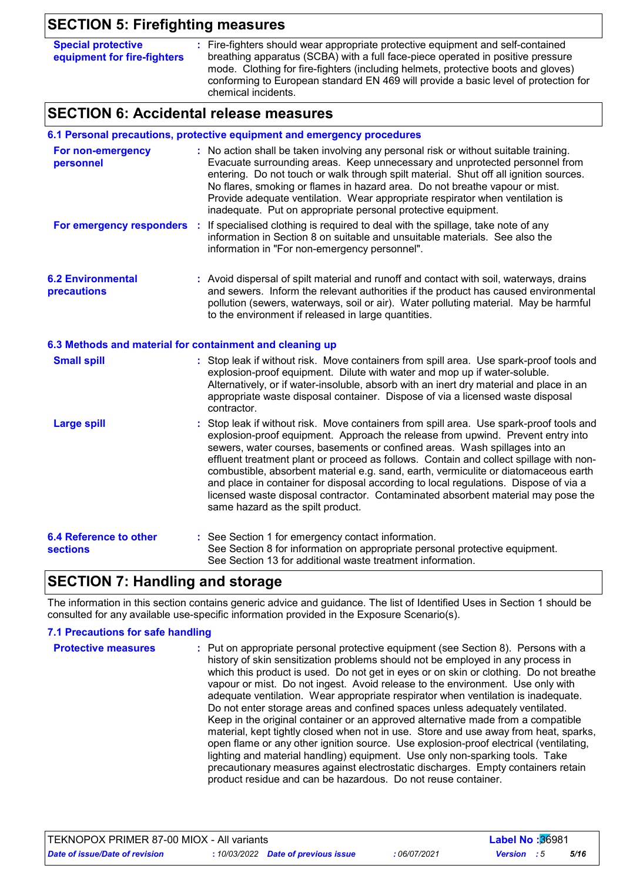## **SECTION 5: Firefighting measures**

| <b>Special protective</b><br>equipment for fire-fighters | : Fire-fighters should wear appropriate protective equipment and self-contained<br>breathing apparatus (SCBA) with a full face-piece operated in positive pressure       |
|----------------------------------------------------------|--------------------------------------------------------------------------------------------------------------------------------------------------------------------------|
|                                                          | mode. Clothing for fire-fighters (including helmets, protective boots and gloves)<br>conforming to European standard EN 469 will provide a basic level of protection for |
|                                                          | chemical incidents.                                                                                                                                                      |

## **SECTION 6: Accidental release measures**

|                                                          |     | 6.1 Personal precautions, protective equipment and emergency procedures                                                                                                                                                                                                                                                                                                                                                                                                                                                                                                                                                                                  |  |  |  |  |
|----------------------------------------------------------|-----|----------------------------------------------------------------------------------------------------------------------------------------------------------------------------------------------------------------------------------------------------------------------------------------------------------------------------------------------------------------------------------------------------------------------------------------------------------------------------------------------------------------------------------------------------------------------------------------------------------------------------------------------------------|--|--|--|--|
| For non-emergency<br>personnel                           |     | : No action shall be taken involving any personal risk or without suitable training.<br>Evacuate surrounding areas. Keep unnecessary and unprotected personnel from<br>entering. Do not touch or walk through spilt material. Shut off all ignition sources.<br>No flares, smoking or flames in hazard area. Do not breathe vapour or mist.<br>Provide adequate ventilation. Wear appropriate respirator when ventilation is<br>inadequate. Put on appropriate personal protective equipment.                                                                                                                                                            |  |  |  |  |
| For emergency responders                                 | - 1 | If specialised clothing is required to deal with the spillage, take note of any<br>information in Section 8 on suitable and unsuitable materials. See also the<br>information in "For non-emergency personnel".                                                                                                                                                                                                                                                                                                                                                                                                                                          |  |  |  |  |
| <b>6.2 Environmental</b><br>precautions                  |     | : Avoid dispersal of spilt material and runoff and contact with soil, waterways, drains<br>and sewers. Inform the relevant authorities if the product has caused environmental<br>pollution (sewers, waterways, soil or air). Water polluting material. May be harmful<br>to the environment if released in large quantities.                                                                                                                                                                                                                                                                                                                            |  |  |  |  |
| 6.3 Methods and material for containment and cleaning up |     |                                                                                                                                                                                                                                                                                                                                                                                                                                                                                                                                                                                                                                                          |  |  |  |  |
| <b>Small spill</b>                                       |     | : Stop leak if without risk. Move containers from spill area. Use spark-proof tools and<br>explosion-proof equipment. Dilute with water and mop up if water-soluble.<br>Alternatively, or if water-insoluble, absorb with an inert dry material and place in an<br>appropriate waste disposal container. Dispose of via a licensed waste disposal<br>contractor.                                                                                                                                                                                                                                                                                         |  |  |  |  |
| <b>Large spill</b>                                       |     | Stop leak if without risk. Move containers from spill area. Use spark-proof tools and<br>explosion-proof equipment. Approach the release from upwind. Prevent entry into<br>sewers, water courses, basements or confined areas. Wash spillages into an<br>effluent treatment plant or proceed as follows. Contain and collect spillage with non-<br>combustible, absorbent material e.g. sand, earth, vermiculite or diatomaceous earth<br>and place in container for disposal according to local regulations. Dispose of via a<br>licensed waste disposal contractor. Contaminated absorbent material may pose the<br>same hazard as the spilt product. |  |  |  |  |
| <b>6.4 Reference to other</b><br><b>sections</b>         |     | : See Section 1 for emergency contact information.<br>See Section 8 for information on appropriate personal protective equipment.<br>See Section 13 for additional waste treatment information.                                                                                                                                                                                                                                                                                                                                                                                                                                                          |  |  |  |  |

## **SECTION 7: Handling and storage**

The information in this section contains generic advice and guidance. The list of Identified Uses in Section 1 should be consulted for any available use-specific information provided in the Exposure Scenario(s).

#### **7.1 Precautions for safe handling**

| <b>Protective measures</b> | : Put on appropriate personal protective equipment (see Section 8). Persons with a<br>history of skin sensitization problems should not be employed in any process in<br>which this product is used. Do not get in eyes or on skin or clothing. Do not breathe<br>vapour or mist. Do not ingest. Avoid release to the environment. Use only with<br>adequate ventilation. Wear appropriate respirator when ventilation is inadequate.<br>Do not enter storage areas and confined spaces unless adequately ventilated.<br>Keep in the original container or an approved alternative made from a compatible<br>material, kept tightly closed when not in use. Store and use away from heat, sparks,<br>open flame or any other ignition source. Use explosion-proof electrical (ventilating,<br>lighting and material handling) equipment. Use only non-sparking tools. Take<br>precautionary measures against electrostatic discharges. Empty containers retain |
|----------------------------|----------------------------------------------------------------------------------------------------------------------------------------------------------------------------------------------------------------------------------------------------------------------------------------------------------------------------------------------------------------------------------------------------------------------------------------------------------------------------------------------------------------------------------------------------------------------------------------------------------------------------------------------------------------------------------------------------------------------------------------------------------------------------------------------------------------------------------------------------------------------------------------------------------------------------------------------------------------|
|                            | product residue and can be hazardous. Do not reuse container.                                                                                                                                                                                                                                                                                                                                                                                                                                                                                                                                                                                                                                                                                                                                                                                                                                                                                                  |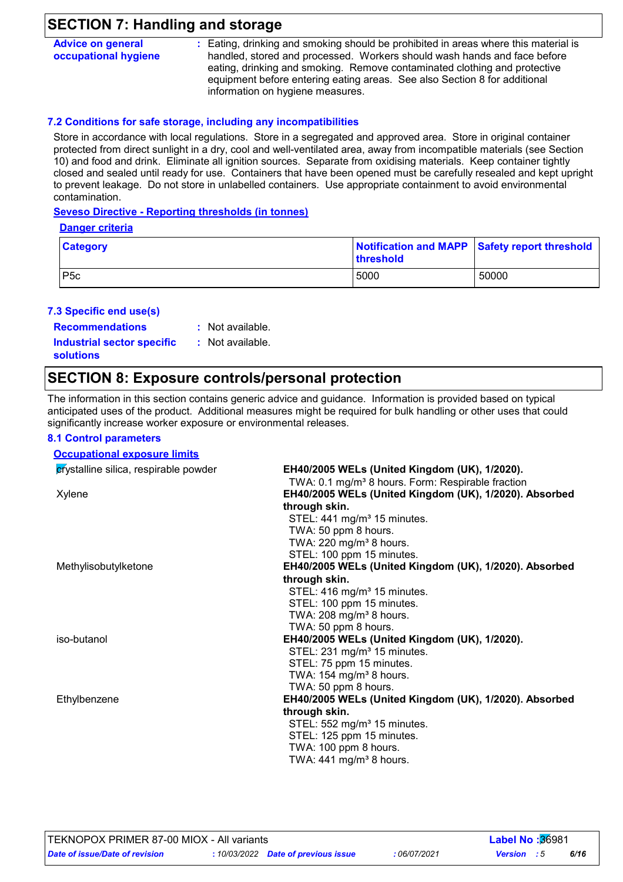### **SECTION 7: Handling and storage**

| <b>Advice on general</b><br>occupational hygiene | : Eating, drinking and smoking should be prohibited in areas where this material is<br>handled, stored and processed. Workers should wash hands and face before |
|--------------------------------------------------|-----------------------------------------------------------------------------------------------------------------------------------------------------------------|
|                                                  | eating, drinking and smoking. Remove contaminated clothing and protective                                                                                       |
|                                                  | equipment before entering eating areas. See also Section 8 for additional                                                                                       |
|                                                  | information on hygiene measures.                                                                                                                                |

#### **7.2 Conditions for safe storage, including any incompatibilities**

Store in accordance with local regulations. Store in a segregated and approved area. Store in original container protected from direct sunlight in a dry, cool and well-ventilated area, away from incompatible materials (see Section 10) and food and drink. Eliminate all ignition sources. Separate from oxidising materials. Keep container tightly closed and sealed until ready for use. Containers that have been opened must be carefully resealed and kept upright to prevent leakage. Do not store in unlabelled containers. Use appropriate containment to avoid environmental contamination.

#### **Seveso Directive - Reporting thresholds (in tonnes)**

#### **Danger criteria**

| <b>Category</b> | <b>I</b> threshold | Notification and MAPP Safety report threshold |
|-----------------|--------------------|-----------------------------------------------|
| P5c             | 5000               | 50000                                         |

#### **7.3 Specific end use(s)**

**Recommendations :**

: Not available. : Not available.

#### **Industrial sector specific : solutions**

### **SECTION 8: Exposure controls/personal protection**

The information in this section contains generic advice and guidance. Information is provided based on typical anticipated uses of the product. Additional measures might be required for bulk handling or other uses that could significantly increase worker exposure or environmental releases.

#### **8.1 Control parameters**

| <b>Occupational exposure limits</b>   |                                                               |
|---------------------------------------|---------------------------------------------------------------|
| crystalline silica, respirable powder | EH40/2005 WELs (United Kingdom (UK), 1/2020).                 |
|                                       | TWA: 0.1 mg/m <sup>3</sup> 8 hours. Form: Respirable fraction |
| Xylene                                | EH40/2005 WELs (United Kingdom (UK), 1/2020). Absorbed        |
|                                       | through skin.                                                 |
|                                       | STEL: 441 mg/m <sup>3</sup> 15 minutes.                       |
|                                       | TWA: 50 ppm 8 hours.                                          |
|                                       | TWA: 220 mg/m <sup>3</sup> 8 hours.                           |
|                                       | STEL: 100 ppm 15 minutes.                                     |
| Methylisobutylketone                  | EH40/2005 WELs (United Kingdom (UK), 1/2020). Absorbed        |
|                                       | through skin.                                                 |
|                                       | STEL: 416 mg/m <sup>3</sup> 15 minutes.                       |
|                                       | STEL: 100 ppm 15 minutes.                                     |
|                                       | TWA: $208 \text{ mg/m}^3$ 8 hours.                            |
|                                       | TWA: 50 ppm 8 hours.                                          |
| iso-butanol                           | EH40/2005 WELs (United Kingdom (UK), 1/2020).                 |
|                                       | STEL: 231 mg/m <sup>3</sup> 15 minutes.                       |
|                                       | STEL: 75 ppm 15 minutes.                                      |
|                                       | TWA: $154 \text{ mg/m}^3$ 8 hours.                            |
|                                       | TWA: 50 ppm 8 hours.                                          |
| Ethylbenzene                          | EH40/2005 WELs (United Kingdom (UK), 1/2020). Absorbed        |
|                                       | through skin.                                                 |
|                                       | STEL: 552 mg/m <sup>3</sup> 15 minutes.                       |
|                                       | STEL: 125 ppm 15 minutes.                                     |
|                                       | TWA: 100 ppm 8 hours.                                         |
|                                       | TWA: $441$ mg/m <sup>3</sup> 8 hours.                         |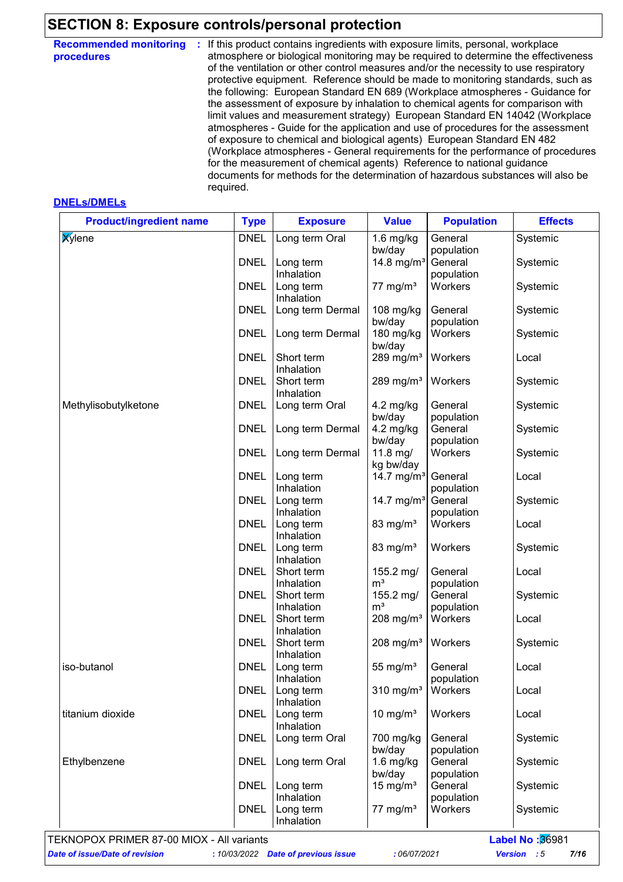## **SECTION 8: Exposure controls/personal protection**

| <b>Recommended monitoring</b><br>procedures | If this product contains ingredients with exposure limits, personal, workplace<br>÷.<br>atmosphere or biological monitoring may be required to determine the effectiveness<br>of the ventilation or other control measures and/or the necessity to use respiratory<br>protective equipment. Reference should be made to monitoring standards, such as<br>the following: European Standard EN 689 (Workplace atmospheres - Guidance for<br>the assessment of exposure by inhalation to chemical agents for comparison with<br>limit values and measurement strategy) European Standard EN 14042 (Workplace<br>atmospheres - Guide for the application and use of procedures for the assessment<br>of exposure to chemical and biological agents) European Standard EN 482<br>(Workplace atmospheres - General requirements for the performance of procedures<br>for the measurement of chemical agents) Reference to national guidance<br>documents for methods for the determination of hazardous substances will also be<br>required. |
|---------------------------------------------|----------------------------------------------------------------------------------------------------------------------------------------------------------------------------------------------------------------------------------------------------------------------------------------------------------------------------------------------------------------------------------------------------------------------------------------------------------------------------------------------------------------------------------------------------------------------------------------------------------------------------------------------------------------------------------------------------------------------------------------------------------------------------------------------------------------------------------------------------------------------------------------------------------------------------------------------------------------------------------------------------------------------------------------|
|---------------------------------------------|----------------------------------------------------------------------------------------------------------------------------------------------------------------------------------------------------------------------------------------------------------------------------------------------------------------------------------------------------------------------------------------------------------------------------------------------------------------------------------------------------------------------------------------------------------------------------------------------------------------------------------------------------------------------------------------------------------------------------------------------------------------------------------------------------------------------------------------------------------------------------------------------------------------------------------------------------------------------------------------------------------------------------------------|

#### **DNELs/DMELs**

| <b>Product/ingredient name</b> | <b>Type</b> | <b>Exposure</b>                | <b>Value</b>            | <b>Population</b>     | <b>Effects</b> |
|--------------------------------|-------------|--------------------------------|-------------------------|-----------------------|----------------|
| <b>Xylene</b>                  | <b>DNEL</b> | Long term Oral                 | $1.6$ mg/kg<br>bw/day   | General<br>population | Systemic       |
|                                | <b>DNEL</b> | Long term                      | 14.8 mg/ $m3$           | General               | Systemic       |
|                                | <b>DNEL</b> | Inhalation<br>Long term        | 77 mg/m $3$             | population<br>Workers | Systemic       |
|                                | <b>DNEL</b> | Inhalation<br>Long term Dermal |                         | General               |                |
|                                |             |                                | 108 mg/kg<br>bw/day     | population            | Systemic       |
|                                | <b>DNEL</b> | Long term Dermal               | 180 mg/kg<br>bw/day     | Workers               | Systemic       |
|                                | <b>DNEL</b> | Short term                     | 289 mg/m <sup>3</sup>   | Workers               | Local          |
|                                | <b>DNEL</b> | Inhalation<br>Short term       | 289 mg/m <sup>3</sup>   | Workers               | Systemic       |
|                                |             | Inhalation                     |                         |                       |                |
| Methylisobutylketone           | <b>DNEL</b> | Long term Oral                 | $4.2$ mg/kg<br>bw/day   | General<br>population | Systemic       |
|                                | <b>DNEL</b> | Long term Dermal               | $4.2$ mg/kg             | General               | Systemic       |
|                                |             |                                | bw/day                  | population            |                |
|                                | <b>DNEL</b> | Long term Dermal               | 11.8 mg/<br>kg bw/day   | Workers               | Systemic       |
|                                | <b>DNEL</b> | Long term                      | 14.7 mg/m <sup>3</sup>  | General               | Local          |
|                                |             | Inhalation                     |                         | population            |                |
|                                | <b>DNEL</b> | Long term                      | 14.7 $mg/m3$            | General               | Systemic       |
|                                |             | Inhalation                     |                         | population<br>Workers |                |
|                                | <b>DNEL</b> | Long term<br>Inhalation        | 83 mg/ $m3$             |                       | Local          |
|                                | <b>DNEL</b> | Long term                      | 83 mg/ $m3$             | Workers               | Systemic       |
|                                |             | Inhalation                     |                         |                       |                |
|                                | <b>DNEL</b> | Short term                     | 155.2 mg/               | General               | Local          |
|                                |             | Inhalation                     | m <sup>3</sup>          | population            |                |
|                                | <b>DNEL</b> | Short term                     | 155.2 mg/               | General               | Systemic       |
|                                |             | Inhalation                     | m <sup>3</sup>          | population            |                |
|                                | <b>DNEL</b> | Short term                     | $208$ mg/m <sup>3</sup> | Workers               | Local          |
|                                |             | Inhalation                     |                         |                       |                |
|                                | <b>DNEL</b> | Short term<br>Inhalation       | 208 mg/m $3$            | Workers               | Systemic       |
| iso-butanol                    | <b>DNEL</b> | Long term                      | 55 mg/ $m3$             | General               | Local          |
|                                |             | Inhalation                     |                         | population            |                |
|                                | <b>DNEL</b> | Long term<br>Inhalation        | $310$ mg/m <sup>3</sup> | Workers               | Local          |
| titanium dioxide               | <b>DNEL</b> | Long term                      | 10 mg/ $m3$             | Workers               | Local          |
|                                |             | Inhalation                     |                         |                       |                |
|                                | <b>DNEL</b> | Long term Oral                 | 700 mg/kg<br>bw/day     | General<br>population | Systemic       |
| Ethylbenzene                   | <b>DNEL</b> | Long term Oral                 | $1.6$ mg/kg             | General               | Systemic       |
|                                |             |                                | bw/day                  | population            |                |
|                                | <b>DNEL</b> | Long term                      | 15 mg/ $m3$             | General               | Systemic       |
|                                |             | Inhalation                     |                         | population            |                |
|                                | <b>DNEL</b> | Long term<br>Inhalation        | $77 \text{ mg/m}^3$     | Workers               | Systemic       |

TEKNOPOX PRIMER 87-00 MIOX - All variants **Label No :**36981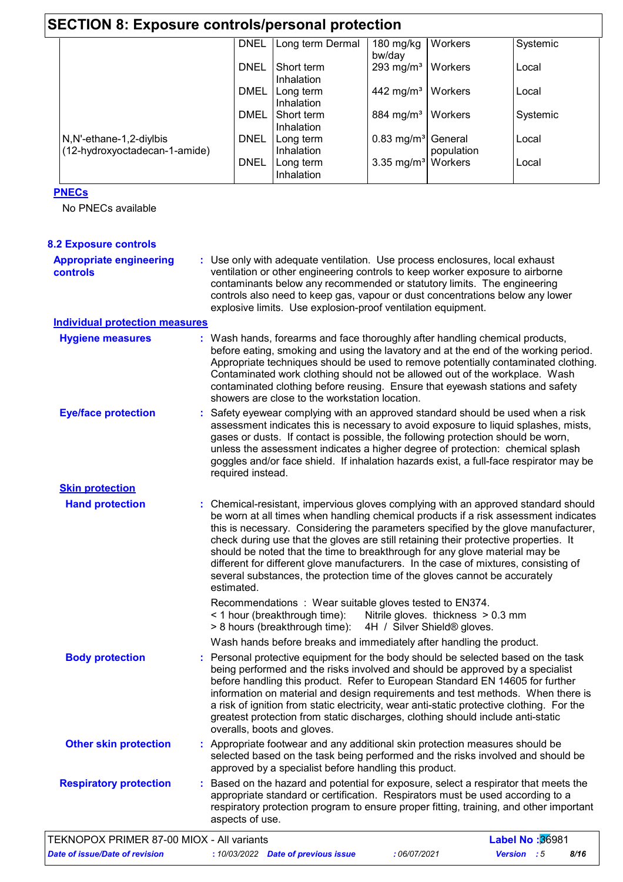| <b>SECTION 8: Exposure controls/personal protection</b>  |             |                          |                                  |                |          |
|----------------------------------------------------------|-------------|--------------------------|----------------------------------|----------------|----------|
|                                                          | <b>DNEL</b> | Long term Dermal         | 180 $mg/kg$<br>bw/day            | Workers        | Systemic |
|                                                          | <b>DNEL</b> | Short term<br>Inhalation | 293 mg/m <sup>3</sup>   Workers  |                | Local    |
|                                                          | <b>DMEL</b> | Long term<br>Inhalation  | 442 mg/m <sup>3</sup>            | <b>Workers</b> | Local    |
|                                                          | <b>DMEL</b> | Short term<br>Inhalation | 884 mg/m <sup>3</sup>   Workers  |                | Systemic |
| N,N'-ethane-1,2-diylbis<br>(12-hydroxyoctadecan-1-amide) | <b>DNEL</b> | Long term<br>Inhalation  | $0.83$ mg/m <sup>3</sup> General | population     | Local    |
|                                                          | <b>DNEL</b> | Long term<br>Inhalation  | 3.35 mg/m <sup>3</sup> Workers   |                | Local    |

#### **PNECs**

No PNECs available

| <b>8.2 Exposure controls</b>                      |                                                                                                                                                                                                                                                                                                                                                                                                                                                                                                                                                                                                                           |
|---------------------------------------------------|---------------------------------------------------------------------------------------------------------------------------------------------------------------------------------------------------------------------------------------------------------------------------------------------------------------------------------------------------------------------------------------------------------------------------------------------------------------------------------------------------------------------------------------------------------------------------------------------------------------------------|
| <b>Appropriate engineering</b><br><b>controls</b> | : Use only with adequate ventilation. Use process enclosures, local exhaust<br>ventilation or other engineering controls to keep worker exposure to airborne<br>contaminants below any recommended or statutory limits. The engineering<br>controls also need to keep gas, vapour or dust concentrations below any lower<br>explosive limits. Use explosion-proof ventilation equipment.                                                                                                                                                                                                                                  |
| <b>Individual protection measures</b>             |                                                                                                                                                                                                                                                                                                                                                                                                                                                                                                                                                                                                                           |
| <b>Hygiene measures</b>                           | : Wash hands, forearms and face thoroughly after handling chemical products,<br>before eating, smoking and using the lavatory and at the end of the working period.<br>Appropriate techniques should be used to remove potentially contaminated clothing.<br>Contaminated work clothing should not be allowed out of the workplace. Wash<br>contaminated clothing before reusing. Ensure that eyewash stations and safety<br>showers are close to the workstation location.                                                                                                                                               |
| <b>Eye/face protection</b>                        | : Safety eyewear complying with an approved standard should be used when a risk<br>assessment indicates this is necessary to avoid exposure to liquid splashes, mists,<br>gases or dusts. If contact is possible, the following protection should be worn,<br>unless the assessment indicates a higher degree of protection: chemical splash<br>goggles and/or face shield. If inhalation hazards exist, a full-face respirator may be<br>required instead.                                                                                                                                                               |
| <b>Skin protection</b>                            |                                                                                                                                                                                                                                                                                                                                                                                                                                                                                                                                                                                                                           |
| <b>Hand protection</b>                            | : Chemical-resistant, impervious gloves complying with an approved standard should<br>be worn at all times when handling chemical products if a risk assessment indicates<br>this is necessary. Considering the parameters specified by the glove manufacturer,<br>check during use that the gloves are still retaining their protective properties. It<br>should be noted that the time to breakthrough for any glove material may be<br>different for different glove manufacturers. In the case of mixtures, consisting of<br>several substances, the protection time of the gloves cannot be accurately<br>estimated. |
|                                                   | Recommendations : Wear suitable gloves tested to EN374.<br>Nitrile gloves. thickness > 0.3 mm<br>< 1 hour (breakthrough time):<br>> 8 hours (breakthrough time):<br>4H / Silver Shield® gloves.                                                                                                                                                                                                                                                                                                                                                                                                                           |
|                                                   | Wash hands before breaks and immediately after handling the product.                                                                                                                                                                                                                                                                                                                                                                                                                                                                                                                                                      |
| <b>Body protection</b>                            | : Personal protective equipment for the body should be selected based on the task<br>being performed and the risks involved and should be approved by a specialist<br>before handling this product. Refer to European Standard EN 14605 for further<br>information on material and design requirements and test methods. When there is<br>a risk of ignition from static electricity, wear anti-static protective clothing. For the<br>greatest protection from static discharges, clothing should include anti-static<br>overalls, boots and gloves.                                                                     |
| <b>Other skin protection</b>                      | : Appropriate footwear and any additional skin protection measures should be<br>selected based on the task being performed and the risks involved and should be<br>approved by a specialist before handling this product.                                                                                                                                                                                                                                                                                                                                                                                                 |
| <b>Respiratory protection</b>                     | : Based on the hazard and potential for exposure, select a respirator that meets the<br>appropriate standard or certification. Respirators must be used according to a<br>respiratory protection program to ensure proper fitting, training, and other important<br>aspects of use.                                                                                                                                                                                                                                                                                                                                       |
| TEKNOPOX PRIMER 87-00 MIOX - All variants         | $I$ ahol No $\sqrt{36081}$                                                                                                                                                                                                                                                                                                                                                                                                                                                                                                                                                                                                |

| TEKNOPOX PRIMER 87-00 MIOX - All variants |                                     |              | <b>Label No:36981</b> |      |  |
|-------------------------------------------|-------------------------------------|--------------|-----------------------|------|--|
| Date of issue/Date of revision            | : 10/03/2022 Date of previous issue | : 06/07/2021 | <b>Version</b> : 5    | 8/16 |  |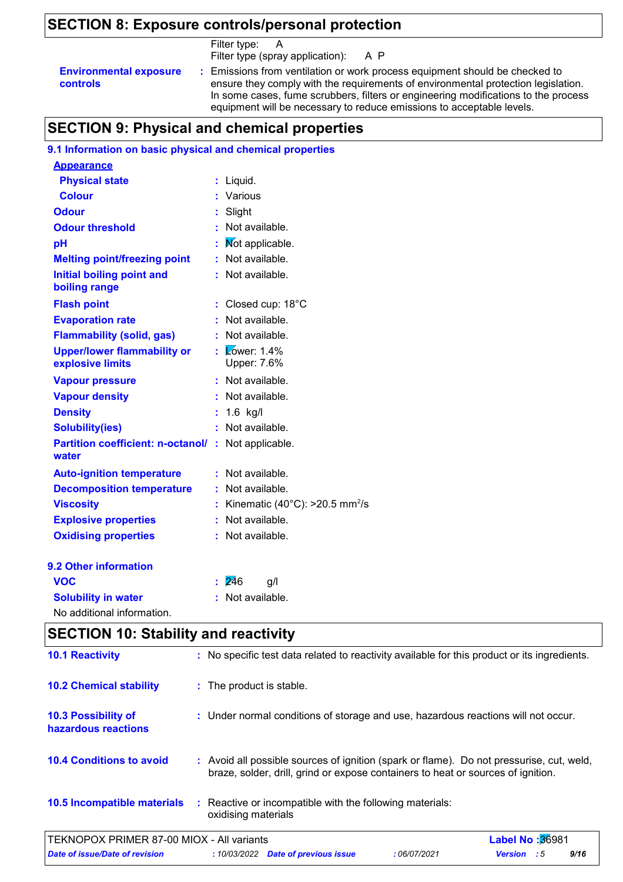## **SECTION 8: Exposure controls/personal protection**

|                                                  | Filter type: A<br>Filter type (spray application): A P                                                                                                                                                                                                                                                                          |
|--------------------------------------------------|---------------------------------------------------------------------------------------------------------------------------------------------------------------------------------------------------------------------------------------------------------------------------------------------------------------------------------|
| <b>Environmental exposure</b><br><b>controls</b> | : Emissions from ventilation or work process equipment should be checked to<br>ensure they comply with the requirements of environmental protection legislation.<br>In some cases, fume scrubbers, filters or engineering modifications to the process<br>equipment will be necessary to reduce emissions to acceptable levels. |

## **SECTION 9: Physical and chemical properties**

### **9.1 Information on basic physical and chemical properties**

| <b>Appearance</b>                                      |    |                                                       |
|--------------------------------------------------------|----|-------------------------------------------------------|
| <b>Physical state</b>                                  | ÷  | Liquid.                                               |
| <b>Colour</b>                                          |    | Various                                               |
| <b>Odour</b>                                           |    | Slight                                                |
| <b>Odour threshold</b>                                 | ř, | Not available.                                        |
| pH                                                     |    | Not applicable.                                       |
| <b>Melting point/freezing point</b>                    | ÷. | Not available.                                        |
| <b>Initial boiling point and</b><br>boiling range      |    | Not available.                                        |
| <b>Flash point</b>                                     | t  | Closed cup: 18°C                                      |
| <b>Evaporation rate</b>                                |    | Not available.                                        |
| <b>Flammability (solid, gas)</b>                       |    | Not available.                                        |
| <b>Upper/lower flammability or</b><br>explosive limits |    | $\sqrt{\phantom{a}}$ Zower: 1.4%<br>Upper: 7.6%       |
| <b>Vapour pressure</b>                                 |    | Not available.                                        |
| <b>Vapour density</b>                                  |    | : Not available.                                      |
| <b>Density</b>                                         | t. | 1.6 kg/l                                              |
| <b>Solubility(ies)</b>                                 | ٠  | Not available.                                        |
| <b>Partition coefficient: n-octanol/</b><br>water      | t  | Not applicable.                                       |
| <b>Auto-ignition temperature</b>                       |    | Not available.                                        |
| <b>Decomposition temperature</b>                       | t  | Not available.                                        |
| <b>Viscosity</b>                                       | ÷  | Kinematic (40 $^{\circ}$ C): >20.5 mm <sup>2</sup> /s |
| <b>Explosive properties</b>                            |    | Not available.                                        |
| <b>Oxidising properties</b>                            |    | Not available.                                        |
| 9.2 Other information                                  |    |                                                       |
| <b>VOC</b>                                             | ÷  | 246<br>g/l                                            |
| <b>Solubility in water</b>                             |    | Not available.                                        |
| No additional information.                             |    |                                                       |

## **SECTION 10: Stability and reactivity**

| TEKNOPOX PRIMER 87-00 MIOX - All variants         |                                                                                                                                                                              | <b>Label No:36981</b> |
|---------------------------------------------------|------------------------------------------------------------------------------------------------------------------------------------------------------------------------------|-----------------------|
| 10.5 Incompatible materials                       | : Reactive or incompatible with the following materials:<br>oxidising materials                                                                                              |                       |
| <b>10.4 Conditions to avoid</b>                   | : Avoid all possible sources of ignition (spark or flame). Do not pressurise, cut, weld,<br>braze, solder, drill, grind or expose containers to heat or sources of ignition. |                       |
| <b>10.3 Possibility of</b><br>hazardous reactions | : Under normal conditions of storage and use, hazardous reactions will not occur.                                                                                            |                       |
| <b>10.2 Chemical stability</b>                    | : The product is stable.                                                                                                                                                     |                       |
| <b>10.1 Reactivity</b>                            | : No specific test data related to reactivity available for this product or its ingredients.                                                                                 |                       |

| TEKNOPOX PRIMER 87-00 MIOX - All variants |                                            |              | <b>Label No :B</b> b981 |      |  |
|-------------------------------------------|--------------------------------------------|--------------|-------------------------|------|--|
| Date of issue/Date of revision            | : 10/03/2022 <b>Date of previous issue</b> | 06/07/2021 ' | <b>Version</b> : 5      | 9/16 |  |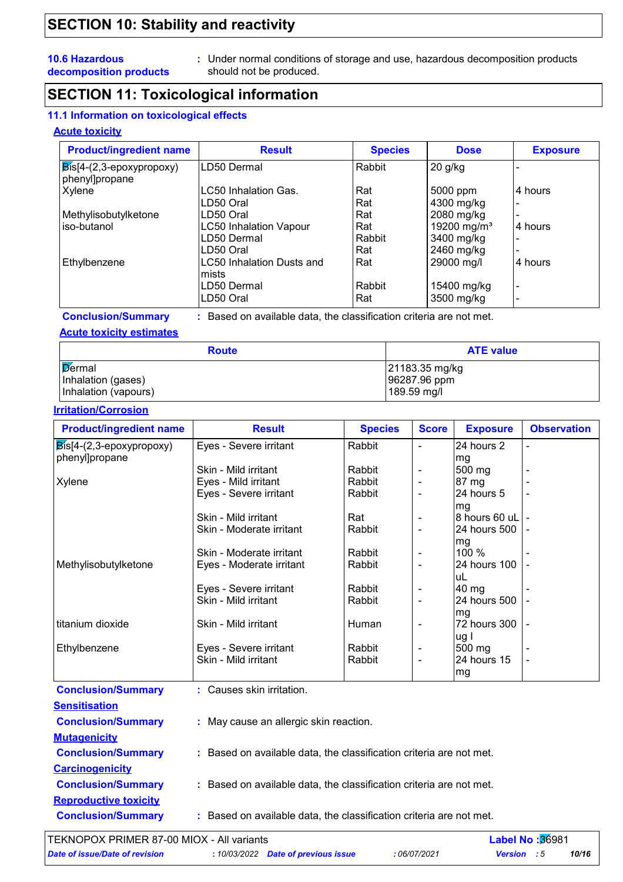## **SECTION 10: Stability and reactivity**

#### **10.6 Hazardous decomposition products**

Under normal conditions of storage and use, hazardous decomposition products **:** should not be produced.

## **SECTION 11: Toxicological information**

#### **11.1 Information on toxicological effects**

#### **Acute toxicity**

| <b>Product/ingredient name</b>                   | <b>Result</b>                 | <b>Species</b> | <b>Dose</b>             | <b>Exposure</b> |
|--------------------------------------------------|-------------------------------|----------------|-------------------------|-----------------|
| $ \overline{\mathsf{B}}$ is[4-(2,3-epoxypropoxy) | LD50 Dermal                   | Rabbit         | $20$ g/kg               |                 |
| phenyl]propane                                   |                               |                |                         |                 |
| Xylene                                           | LC50 Inhalation Gas.          | Rat            | 5000 ppm                | 4 hours         |
|                                                  | LD50 Oral                     | Rat            | 4300 mg/kg              |                 |
| Methylisobutylketone                             | LD50 Oral                     | Rat            | 2080 mg/kg              |                 |
| l iso-butanol                                    | <b>LC50 Inhalation Vapour</b> | Rat            | 19200 mg/m <sup>3</sup> | 4 hours         |
|                                                  | LD50 Dermal                   | Rabbit         | 3400 mg/kg              |                 |
|                                                  | LD50 Oral                     | Rat            | 2460 mg/kg              |                 |
| Ethylbenzene                                     | LC50 Inhalation Dusts and     | Rat            | 29000 mg/l              | 4 hours         |
|                                                  | mists                         |                |                         |                 |
|                                                  | LD50 Dermal                   | Rabbit         | 15400 mg/kg             |                 |
|                                                  | LD50 Oral                     | Rat            | 3500 mg/kg              |                 |

#### **Conclusion/Summary :**

: Based on available data, the classification criteria are not met.

#### **Acute toxicity estimates**

| <b>Route</b>         | <b>ATE value</b> |
|----------------------|------------------|
| <b>D</b> ermal       | 21183.35 mg/kg   |
| Inhalation (gases)   | 96287.96 ppm     |
| Inhalation (vapours) | 189.59 mg/l      |

#### **Irritation/Corrosion**

**Reproductive toxicity Conclusion/Summary :**

| <b>Product/ingredient name</b>               | <b>Result</b>                                                       | <b>Species</b> | <b>Score</b>   | <b>Exposure</b>            | <b>Observation</b>       |
|----------------------------------------------|---------------------------------------------------------------------|----------------|----------------|----------------------------|--------------------------|
| $Bis[4-(2,3-epoxypropoxy)$<br>phenyl]propane | Eyes - Severe irritant                                              | Rabbit         | $\blacksquare$ | 24 hours 2<br>mg           | $\blacksquare$           |
|                                              | Skin - Mild irritant                                                | Rabbit         |                | 500 mg                     | $\overline{\phantom{a}}$ |
| Xylene                                       | Eyes - Mild irritant                                                | Rabbit         |                | 87 mg                      |                          |
|                                              | Eyes - Severe irritant                                              | Rabbit         |                | 24 hours 5                 |                          |
|                                              | Skin - Mild irritant                                                | Rat            |                | mg<br>8 hours 60 uL        |                          |
|                                              | Skin - Moderate irritant                                            | Rabbit         |                | 24 hours 500               |                          |
|                                              | Skin - Moderate irritant                                            | Rabbit         |                | mg<br>100 %                |                          |
| Methylisobutylketone                         | Eyes - Moderate irritant                                            | Rabbit         |                | 24 hours 100<br>uL         |                          |
|                                              | Eyes - Severe irritant                                              | Rabbit         |                | 40 mg                      |                          |
|                                              | Skin - Mild irritant                                                | Rabbit         |                | 24 hours 500               |                          |
| titanium dioxide                             | Skin - Mild irritant                                                | Human          | ÷              | mg<br>72 hours 300<br>ug I |                          |
| Ethylbenzene                                 | Eyes - Severe irritant                                              | Rabbit         |                | 500 mg                     |                          |
|                                              | Skin - Mild irritant                                                | Rabbit         |                | 24 hours 15                |                          |
|                                              |                                                                     |                |                | mg                         |                          |
| <b>Conclusion/Summary</b>                    | : Causes skin irritation.                                           |                |                |                            |                          |
| <b>Sensitisation</b>                         |                                                                     |                |                |                            |                          |
| <b>Conclusion/Summary</b>                    | : May cause an allergic skin reaction.                              |                |                |                            |                          |
| <b>Mutagenicity</b>                          |                                                                     |                |                |                            |                          |
| <b>Conclusion/Summary</b>                    | : Based on available data, the classification criteria are not met. |                |                |                            |                          |
| <b>Carcinogenicity</b>                       |                                                                     |                |                |                            |                          |

**Conclusion/Summary :** : Based on available data, the classification criteria are not met.

: Based on available data, the classification criteria are not met.

| TEKNOPOX PRIMER 87-00 MIOX - All variants |                                     |              | <b>Label No:36981</b> |       |  |
|-------------------------------------------|-------------------------------------|--------------|-----------------------|-------|--|
| Date of issue/Date of revision            | : 10/03/2022 Date of previous issue | : 06/07/2021 | <b>Version</b> : 5    | 10/16 |  |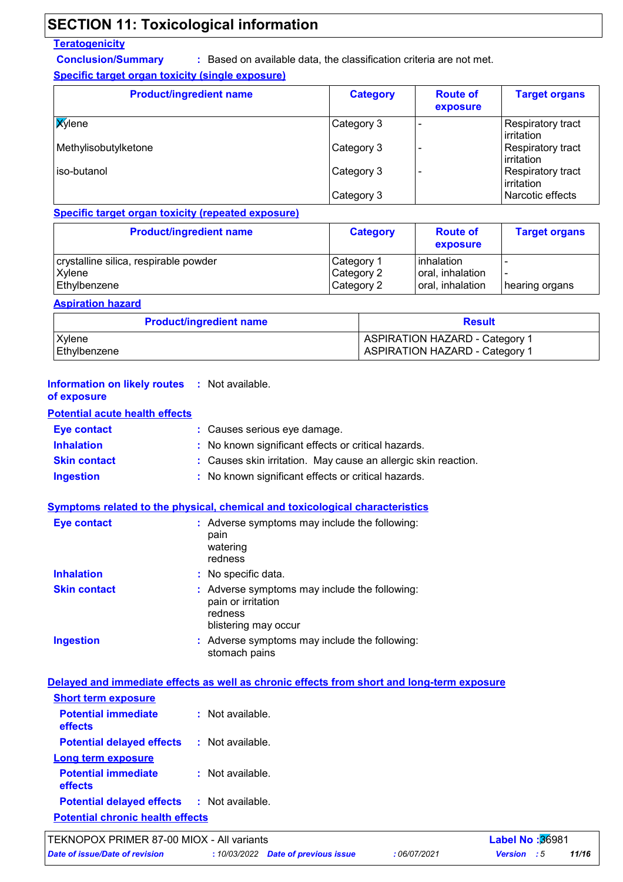## **SECTION 11: Toxicological information**

#### **Teratogenicity**

**Conclusion/Summary :** : Based on available data, the classification criteria are not met.

**Specific target organ toxicity (single exposure)**

| <b>Product/ingredient name</b> | <b>Category</b> | <b>Route of</b><br>exposure | <b>Target organs</b>            |
|--------------------------------|-----------------|-----------------------------|---------------------------------|
| <b>X</b> ylene                 | Category 3      |                             | Respiratory tract<br>irritation |
| Methylisobutylketone           | Category 3      |                             | Respiratory tract<br>irritation |
| iso-butanol                    | Category 3      |                             | Respiratory tract<br>irritation |
|                                | Category 3      |                             | Narcotic effects                |

#### **Specific target organ toxicity (repeated exposure)**

| <b>Product/ingredient name</b>                  | <b>Category</b>          | <b>Route of</b><br>exposure    | <b>Target organs</b> |
|-------------------------------------------------|--------------------------|--------------------------------|----------------------|
| crystalline silica, respirable powder<br>Xylene | Category 1<br>Category 2 | inhalation<br>oral, inhalation |                      |
| Ethylbenzene                                    | Category 2               | oral, inhalation               | hearing organs       |

#### **Aspiration hazard**

| <b>Product/ingredient name</b> | <b>Result</b>                         |  |
|--------------------------------|---------------------------------------|--|
| Xylene                         | <b>ASPIRATION HAZARD - Category 1</b> |  |
| Ethylbenzene                   | <b>ASPIRATION HAZARD - Category 1</b> |  |

#### **Information on likely routes : Not available. of exposure**

#### **Potential acute health effects**

| <b>Eve contact</b>  | : Causes serious eye damage.                                   |
|---------------------|----------------------------------------------------------------|
| <b>Inhalation</b>   | : No known significant effects or critical hazards.            |
| <b>Skin contact</b> | : Causes skin irritation. May cause an allergic skin reaction. |
| Ingestion           | : No known significant effects or critical hazards.            |

#### **Symptoms related to the physical, chemical and toxicological characteristics**

| <b>Eye contact</b>  | : Adverse symptoms may include the following:<br>pain<br>watering<br>redness                           |
|---------------------|--------------------------------------------------------------------------------------------------------|
| <b>Inhalation</b>   | : No specific data.                                                                                    |
| <b>Skin contact</b> | : Adverse symptoms may include the following:<br>pain or irritation<br>redness<br>blistering may occur |
| <b>Ingestion</b>    | : Adverse symptoms may include the following:<br>stomach pains                                         |

|                                                   | Delayed and immediate effects as well as chronic effects from short and long-term exposure |
|---------------------------------------------------|--------------------------------------------------------------------------------------------|
| <b>Short term exposure</b>                        |                                                                                            |
| <b>Potential immediate</b><br><b>effects</b>      | : Not available.                                                                           |
| <b>Potential delayed effects : Not available.</b> |                                                                                            |
| Long term exposure                                |                                                                                            |
| <b>Potential immediate</b><br><b>effects</b>      | : Not available.                                                                           |
| <b>Potential delayed effects : Not available.</b> |                                                                                            |
| <b>Potential chronic health effects</b>           |                                                                                            |

*Date of issue/Date of revision* **:** *10/03/2022 Date of previous issue : 06/07/2021 Version : 5 11/16* TEKNOPOX PRIMER 87-00 MIOX - All variants **Label No : 36981**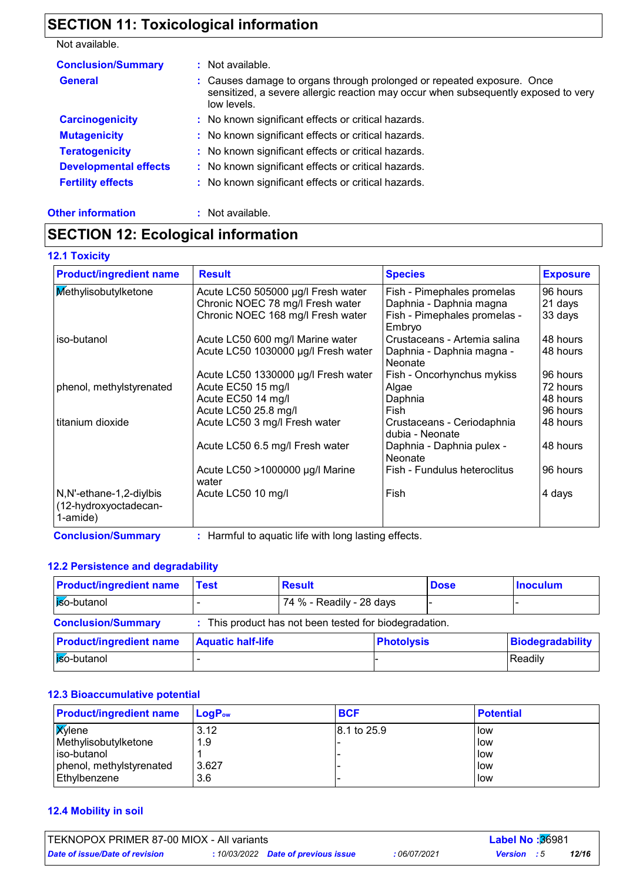## **SECTION 11: Toxicological information**

Not available.

| <b>Conclusion/Summary</b>    | : Not available.                                                                                                                                                            |
|------------------------------|-----------------------------------------------------------------------------------------------------------------------------------------------------------------------------|
| <b>General</b>               | : Causes damage to organs through prolonged or repeated exposure. Once<br>sensitized, a severe allergic reaction may occur when subsequently exposed to very<br>low levels. |
| <b>Carcinogenicity</b>       | : No known significant effects or critical hazards.                                                                                                                         |
| <b>Mutagenicity</b>          | : No known significant effects or critical hazards.                                                                                                                         |
| <b>Teratogenicity</b>        | : No known significant effects or critical hazards.                                                                                                                         |
| <b>Developmental effects</b> | : No known significant effects or critical hazards.                                                                                                                         |
| <b>Fertility effects</b>     | : No known significant effects or critical hazards.                                                                                                                         |

#### **Other information :** Not available.

## **SECTION 12: Ecological information**

#### **12.1 Toxicity**

| <b>Product/ingredient name</b>                               | <b>Result</b>                            | <b>Species</b>                                | <b>Exposure</b> |
|--------------------------------------------------------------|------------------------------------------|-----------------------------------------------|-----------------|
| Methylisobutylketone                                         | Acute LC50 505000 µg/l Fresh water       | Fish - Pimephales promelas                    | 96 hours        |
|                                                              | Chronic NOEC 78 mg/l Fresh water         | Daphnia - Daphnia magna                       | 21 days         |
|                                                              | Chronic NOEC 168 mg/l Fresh water        | Fish - Pimephales promelas -<br>Embryo        | 33 days         |
| iso-butanol                                                  | Acute LC50 600 mg/l Marine water         | Crustaceans - Artemia salina                  | 48 hours        |
|                                                              | Acute LC50 1030000 µg/l Fresh water      | Daphnia - Daphnia magna -<br>Neonate          | 48 hours        |
|                                                              | Acute LC50 1330000 µg/l Fresh water      | Fish - Oncorhynchus mykiss                    | 96 hours        |
| phenol, methylstyrenated                                     | Acute EC50 15 mg/l                       | Algae                                         | 72 hours        |
|                                                              | Acute EC50 14 mg/l                       | Daphnia                                       | 48 hours        |
|                                                              | Acute LC50 25.8 mg/l                     | Fish                                          | 96 hours        |
| titanium dioxide                                             | Acute LC50 3 mg/l Fresh water            | Crustaceans - Ceriodaphnia<br>dubia - Neonate | 48 hours        |
|                                                              | Acute LC50 6.5 mg/l Fresh water          | Daphnia - Daphnia pulex -<br>Neonate          | 48 hours        |
|                                                              | Acute LC50 >1000000 µg/l Marine<br>water | Fish - Fundulus heteroclitus                  | 96 hours        |
| N,N'-ethane-1,2-diylbis<br>(12-hydroxyoctadecan-<br>1-amide) | Acute LC50 10 mg/l                       | Fish                                          | 4 days          |

**Conclusion/Summary :**

: Harmful to aquatic life with long lasting effects.

#### **12.2 Persistence and degradability**

| <b>Product/ingredient name</b> | Test                     | <b>Result</b>                                          |                   | <b>Dose</b> | <b>Inoculum</b>         |
|--------------------------------|--------------------------|--------------------------------------------------------|-------------------|-------------|-------------------------|
| iso-butanol                    |                          | 74 % - Readily - 28 days                               |                   |             |                         |
| <b>Conclusion/Summary</b>      |                          | : This product has not been tested for biodegradation. |                   |             |                         |
| <b>Product/ingredient name</b> | <b>Aquatic half-life</b> |                                                        | <b>Photolysis</b> |             | <b>Biodegradability</b> |
| iso-butanol                    |                          |                                                        |                   |             | Readily                 |

#### **12.3 Bioaccumulative potential**

| <b>Product/ingredient name</b> | ⊺LoɑP <sub>ow</sub> | <b>BCF</b>  | <b>Potential</b> |
|--------------------------------|---------------------|-------------|------------------|
| <b>X</b> ylene                 | 3.12                | 8.1 to 25.9 | low              |
| Methylisobutylketone           | 1.9                 |             | low              |
| liso-butanol                   |                     |             | low              |
| phenol, methylstyrenated       | 3.627               |             | low              |
| Ethylbenzene                   | 3.6                 |             | low              |

#### **12.4 Mobility in soil**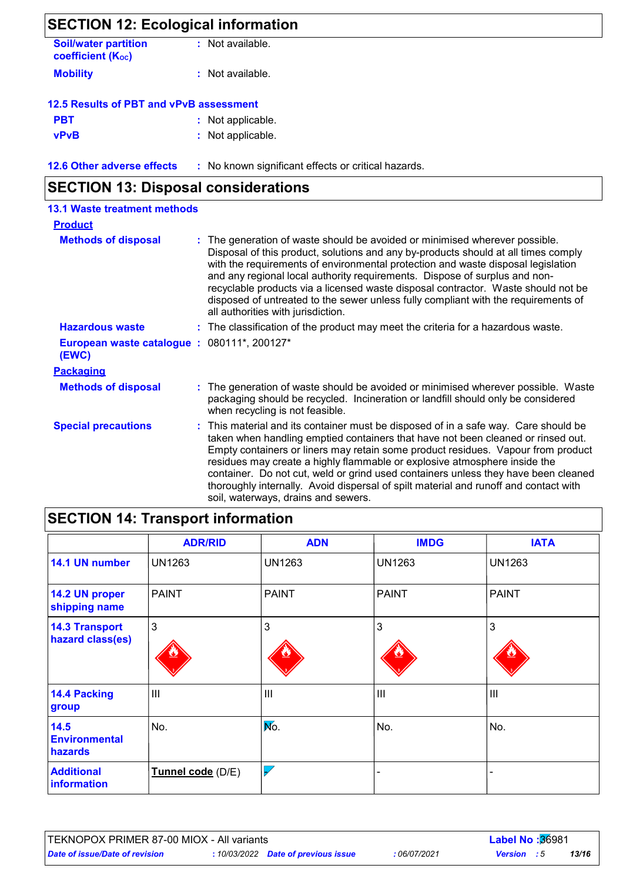| <b>SECTION 12: Ecological information</b>               |                                                     |
|---------------------------------------------------------|-----------------------------------------------------|
| <b>Soil/water partition</b><br><b>coefficient (Koc)</b> | : Not available.                                    |
| <b>Mobility</b>                                         | : Not available.                                    |
| 12.5 Results of PBT and vPvB assessment                 |                                                     |
| <b>PBT</b>                                              | : Not applicable.                                   |
| <b>vPvB</b>                                             | : Not applicable.                                   |
| <b>12.6 Other adverse effects</b>                       | : No known significant effects or critical hazards. |

## **SECTION 13: Disposal considerations**

| <b>13.1 Waste treatment methods</b>                 |                                                                                                                                                                                                                                                                                                                                                                                                                                                                                                                                                               |
|-----------------------------------------------------|---------------------------------------------------------------------------------------------------------------------------------------------------------------------------------------------------------------------------------------------------------------------------------------------------------------------------------------------------------------------------------------------------------------------------------------------------------------------------------------------------------------------------------------------------------------|
| <b>Product</b>                                      |                                                                                                                                                                                                                                                                                                                                                                                                                                                                                                                                                               |
| <b>Methods of disposal</b>                          | : The generation of waste should be avoided or minimised wherever possible.<br>Disposal of this product, solutions and any by-products should at all times comply<br>with the requirements of environmental protection and waste disposal legislation<br>and any regional local authority requirements. Dispose of surplus and non-<br>recyclable products via a licensed waste disposal contractor. Waste should not be<br>disposed of untreated to the sewer unless fully compliant with the requirements of<br>all authorities with jurisdiction.          |
| <b>Hazardous waste</b>                              | : The classification of the product may meet the criteria for a hazardous waste.                                                                                                                                                                                                                                                                                                                                                                                                                                                                              |
| European waste catalogue: 080111*, 200127*<br>(EWC) |                                                                                                                                                                                                                                                                                                                                                                                                                                                                                                                                                               |
| <b>Packaging</b>                                    |                                                                                                                                                                                                                                                                                                                                                                                                                                                                                                                                                               |
| <b>Methods of disposal</b>                          | : The generation of waste should be avoided or minimised wherever possible. Waste<br>packaging should be recycled. Incineration or landfill should only be considered<br>when recycling is not feasible.                                                                                                                                                                                                                                                                                                                                                      |
| <b>Special precautions</b>                          | : This material and its container must be disposed of in a safe way. Care should be<br>taken when handling emptied containers that have not been cleaned or rinsed out.<br>Empty containers or liners may retain some product residues. Vapour from product<br>residues may create a highly flammable or explosive atmosphere inside the<br>container. Do not cut, weld or grind used containers unless they have been cleaned<br>thoroughly internally. Avoid dispersal of spilt material and runoff and contact with<br>soil, waterways, drains and sewers. |

| <b>SECTION 14: Transport information</b> |  |
|------------------------------------------|--|
|------------------------------------------|--|

|                                           | <b>ADR/RID</b>    | <b>ADN</b>           | <b>IMDG</b>    | <b>IATA</b>    |
|-------------------------------------------|-------------------|----------------------|----------------|----------------|
| 14.1 UN number                            | <b>UN1263</b>     | <b>UN1263</b>        | <b>UN1263</b>  | <b>UN1263</b>  |
| 14.2 UN proper<br>shipping name           | <b>PAINT</b>      | <b>PAINT</b>         | <b>PAINT</b>   | <b>PAINT</b>   |
| <b>14.3 Transport</b><br>hazard class(es) | $\mathbf{3}$      | 3                    | 3              | 3              |
| 14.4 Packing<br>group                     | $\mathbf{III}$    | $\mathbf{III}$       | $\mathbf{III}$ | $\mathbf{III}$ |
| 14.5<br><b>Environmental</b><br>hazards   | No.               | No.                  | No.            | No.            |
| <b>Additional</b><br>information          | Tunnel code (D/E) | $\blacktriangledown$ |                |                |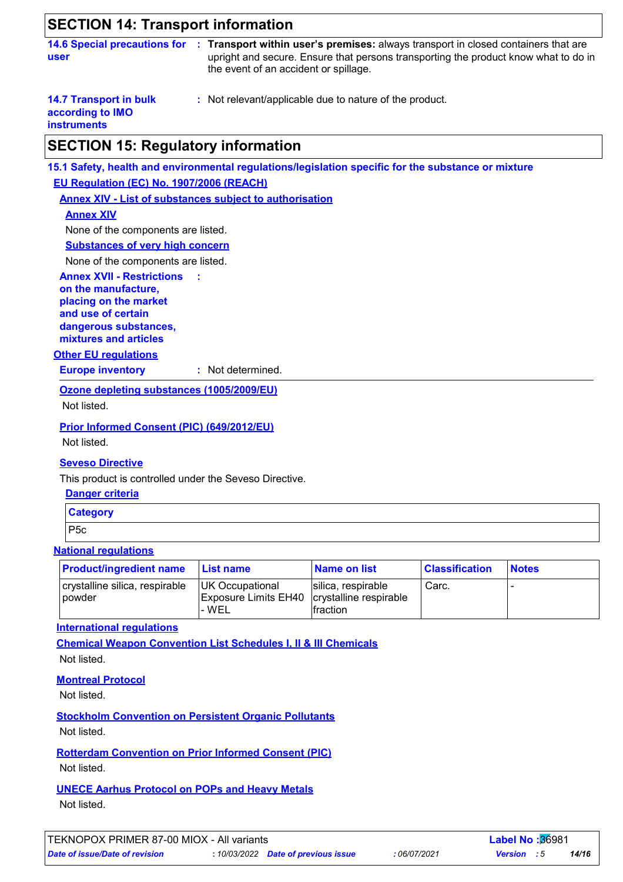### **SECTION 14: Transport information**

| <b>14.6 Special precautions for</b> |  |
|-------------------------------------|--|
| user                                |  |

- **Transport within user's premises:** always transport in closed containers that are **:** upright and secure. Ensure that persons transporting the product know what to do in the event of an accident or spillage.
- **14.7 Transport in bulk**
- **:** Not relevant/applicable due to nature of the product.

#### **according to IMO instruments**

## **SECTION 15: Regulatory information**

**15.1 Safety, health and environmental regulations/legislation specific for the substance or mixture**

**EU Regulation (EC) No. 1907/2006 (REACH)**

**Annex XIV - List of substances subject to authorisation**

**:**

#### **Annex XIV**

None of the components are listed.

**Substances of very high concern**

None of the components are listed.

| <b>Annex XVII - Restrictions</b> |  |
|----------------------------------|--|
| on the manufacture,              |  |
| placing on the market            |  |
| and use of certain               |  |
| dangerous substances,            |  |
| mixtures and articles            |  |
|                                  |  |

#### **Other EU regulations**

**Europe inventory :** Not determined.

**Ozone depleting substances (1005/2009/EU)**

Not listed.

**Prior Informed Consent (PIC) (649/2012/EU)**

Not listed.

#### **Seveso Directive**

This product is controlled under the Seveso Directive.

| <b>Danger criteria</b> |  |  |  |  |
|------------------------|--|--|--|--|
|                        |  |  |  |  |

| <b>Category</b> |  |
|-----------------|--|
| P <sub>5c</sub> |  |

#### **National regulations**

| <b>Product/ingredient name</b> | <b>List name</b>                                     | <b>Name on list</b> | <b>Classification</b> | <b>Notes</b> |
|--------------------------------|------------------------------------------------------|---------------------|-----------------------|--------------|
| crystalline silica, respirable | IUK Occupational                                     | silica, respirable  | Carc.                 |              |
| <b>powder</b>                  | Exposure Limits EH40 crystalline respirable<br>- WEL | fraction            |                       |              |

#### **International regulations**

**Chemical Weapon Convention List Schedules I, II & III Chemicals** Not listed.

#### **Montreal Protocol**

Not listed.

**Stockholm Convention on Persistent Organic Pollutants**

Not listed.

**Rotterdam Convention on Prior Informed Consent (PIC)**

Not listed.

**UNECE Aarhus Protocol on POPs and Heavy Metals** Not listed.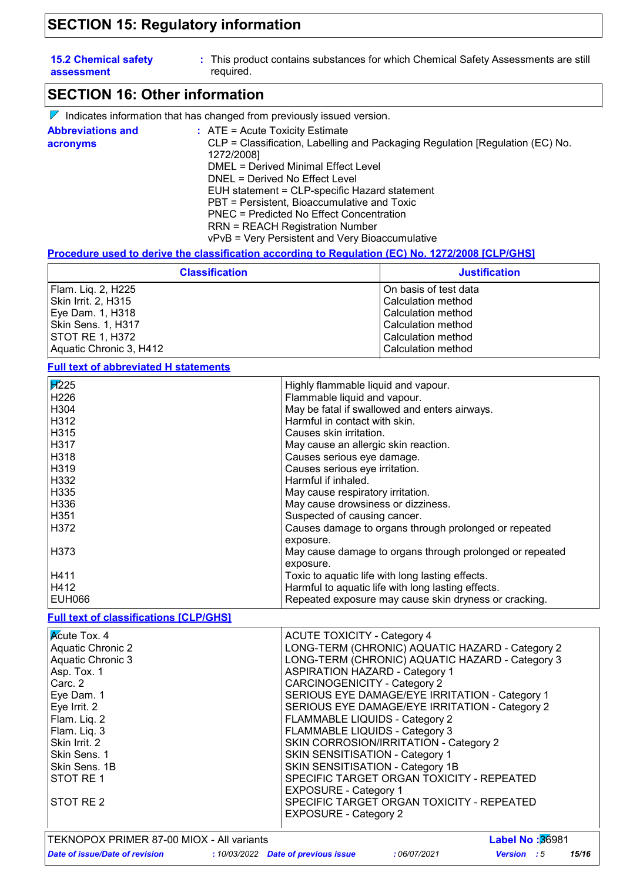## **SECTION 15: Regulatory information**

| <b>15.2 Chemical safety</b> |  |
|-----------------------------|--|
| assessment                  |  |

This product contains substances for which Chemical Safety Assessments are still **:** required.

## **SECTION 16: Other information**

| $\nabla$ Indicates information that has changed from previously issued version. |  |
|---------------------------------------------------------------------------------|--|
|---------------------------------------------------------------------------------|--|

| <b>Abbreviations and</b><br>acronyms | $\therefore$ ATE = Acute Toxicity Estimate<br>CLP = Classification, Labelling and Packaging Regulation [Regulation (EC) No.<br>1272/2008] |  |  |
|--------------------------------------|-------------------------------------------------------------------------------------------------------------------------------------------|--|--|
|                                      | DMEL = Derived Minimal Effect Level                                                                                                       |  |  |
|                                      | DNEL = Derived No Effect Level                                                                                                            |  |  |
|                                      | EUH statement = CLP-specific Hazard statement                                                                                             |  |  |
|                                      | PBT = Persistent, Bioaccumulative and Toxic                                                                                               |  |  |
|                                      | PNEC = Predicted No Effect Concentration                                                                                                  |  |  |
|                                      | <b>RRN = REACH Registration Number</b>                                                                                                    |  |  |
|                                      | vPvB = Very Persistent and Very Bioaccumulative                                                                                           |  |  |

#### **Procedure used to derive the classification according to Regulation (EC) No. 1272/2008 [CLP/GHS]**

| <b>Classification</b>   | <b>Justification</b>  |
|-------------------------|-----------------------|
| Flam. Liq. 2, H225      | On basis of test data |
| Skin Irrit. 2, H315     | Calculation method    |
| Eye Dam. 1, H318        | Calculation method    |
| Skin Sens. 1, H317      | Calculation method    |
| <b>STOT RE 1, H372</b>  | Calculation method    |
| Aquatic Chronic 3, H412 | Calculation method    |

**Full text of abbreviated H statements**

| <b>F</b> <sup>225</sup> | Highly flammable liquid and vapour.                      |
|-------------------------|----------------------------------------------------------|
| H226                    | Flammable liquid and vapour.                             |
| H304                    | May be fatal if swallowed and enters airways.            |
| H312                    | Harmful in contact with skin.                            |
| H315                    | Causes skin irritation.                                  |
| l H317                  | May cause an allergic skin reaction.                     |
| l H318                  | Causes serious eye damage.                               |
| l H319                  | Causes serious eye irritation.                           |
| l H332                  | Harmful if inhaled.                                      |
| H335                    | May cause respiratory irritation.                        |
| H336                    | May cause drowsiness or dizziness.                       |
| l H351                  | Suspected of causing cancer.                             |
| H372                    | Causes damage to organs through prolonged or repeated    |
|                         | exposure.                                                |
| H373                    | May cause damage to organs through prolonged or repeated |
|                         | exposure.                                                |
| H411                    | Toxic to aquatic life with long lasting effects.         |
| H412                    | Harmful to aquatic life with long lasting effects.       |
| EUH066                  | Repeated exposure may cause skin dryness or cracking.    |

#### **Full text of classifications [CLP/GHS]**

| $\kappa$ cute Tox. 4                      | <b>ACUTE TOXICITY - Category 4</b>              |
|-------------------------------------------|-------------------------------------------------|
| Aquatic Chronic 2                         | LONG-TERM (CHRONIC) AQUATIC HAZARD - Category 2 |
| Aquatic Chronic 3                         | LONG-TERM (CHRONIC) AQUATIC HAZARD - Category 3 |
| Asp. Tox. 1                               | <b>ASPIRATION HAZARD - Category 1</b>           |
| Carc. 2                                   | <b>CARCINOGENICITY - Category 2</b>             |
| Eye Dam. 1                                | SERIOUS EYE DAMAGE/EYE IRRITATION - Category 1  |
| Eye Irrit. 2                              | SERIOUS EYE DAMAGE/EYE IRRITATION - Category 2  |
| Flam. Liq. 2                              | FLAMMABLE LIQUIDS - Category 2                  |
| Flam. Liq. 3                              | FLAMMABLE LIQUIDS - Category 3                  |
| Skin Irrit. 2                             | SKIN CORROSION/IRRITATION - Category 2          |
| Skin Sens. 1                              | <b>SKIN SENSITISATION - Category 1</b>          |
| Skin Sens, 1B                             | SKIN SENSITISATION - Category 1B                |
| STOT RE1                                  | SPECIFIC TARGET ORGAN TOXICITY - REPEATED       |
|                                           | <b>EXPOSURE - Category 1</b>                    |
| STOT RE 2                                 | SPECIFIC TARGET ORGAN TOXICITY - REPEATED       |
|                                           | <b>EXPOSURE - Category 2</b>                    |
|                                           |                                                 |
| TEKNOPOX PRIMER 87-00 MIOX - All variants | Label No: 36981                                 |

*Date of issue/Date of revision* **:** *10/03/2022 Date of previous issue : 06/07/2021 Version : 5 15/16*